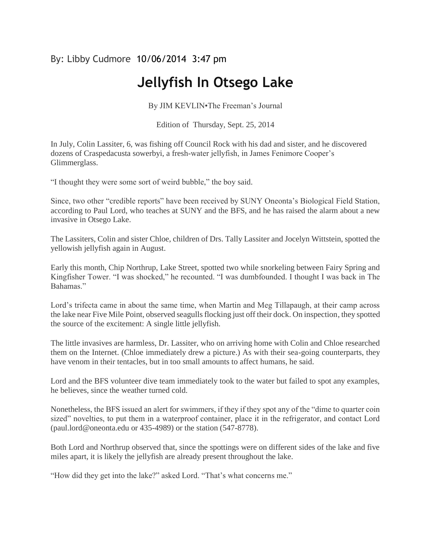## By: Libby Cudmore 10/06/2014 3:47 pm

## **Jellyfish In Otsego Lake**

By JIM KEVLIN•The Freeman's Journal

Edition of Thursday, Sept. 25, 2014

In July, Colin Lassiter, 6, was fishing off Council Rock with his dad and sister, and he discovered dozens of Craspedacusta sowerbyi, a fresh-water jellyfish, in James Fenimore Cooper's Glimmerglass.

"I thought they were some sort of weird bubble," the boy said.

Since, two other "credible reports" have been received by SUNY Oneonta's Biological Field Station, according to Paul Lord, who teaches at SUNY and the BFS, and he has raised the alarm about a new invasive in Otsego Lake.

The Lassiters, Colin and sister Chloe, children of Drs. Tally Lassiter and Jocelyn Wittstein, spotted the yellowish jellyfish again in August.

Early this month, Chip Northrup, Lake Street, spotted two while snorkeling between Fairy Spring and Kingfisher Tower. "I was shocked," he recounted. "I was dumbfounded. I thought I was back in The Bahamas."

Lord's trifecta came in about the same time, when Martin and Meg Tillapaugh, at their camp across the lake near Five Mile Point, observed seagulls flocking just off their dock. On inspection, they spotted the source of the excitement: A single little jellyfish.

The little invasives are harmless, Dr. Lassiter, who on arriving home with Colin and Chloe researched them on the Internet. (Chloe immediately drew a picture.) As with their sea-going counterparts, they have venom in their tentacles, but in too small amounts to affect humans, he said.

Lord and the BFS volunteer dive team immediately took to the water but failed to spot any examples, he believes, since the weather turned cold.

Nonetheless, the BFS issued an alert for swimmers, if they if they spot any of the "dime to quarter coin sized" novelties, to put them in a waterproof container, place it in the refrigerator, and contact Lord (paul.lord@oneonta.edu or 435-4989) or the station (547-8778).

Both Lord and Northrup observed that, since the spottings were on different sides of the lake and five miles apart, it is likely the jellyfish are already present throughout the lake.

"How did they get into the lake?" asked Lord. "That's what concerns me."